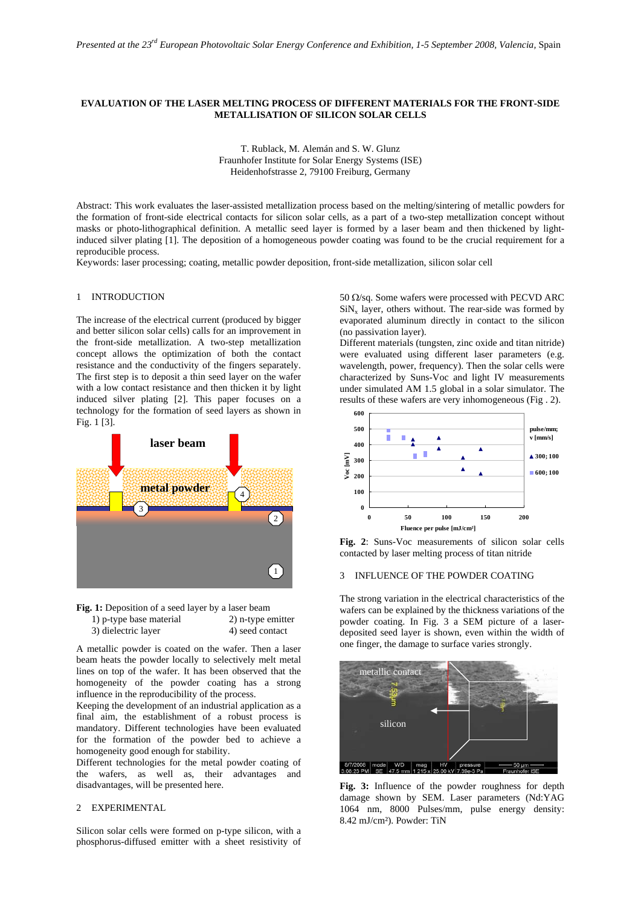### **EVALUATION OF THE LASER MELTING PROCESS OF DIFFERENT MATERIALS FOR THE FRONT-SIDE METALLISATION OF SILICON SOLAR CELLS**

T. Rublack, M. Alemán and S. W. Glunz Fraunhofer Institute for Solar Energy Systems (ISE) Heidenhofstrasse 2, 79100 Freiburg, Germany

Abstract: This work evaluates the laser-assisted metallization process based on the melting/sintering of metallic powders for the formation of front-side electrical contacts for silicon solar cells, as a part of a two-step metallization concept without masks or photo-lithographical definition. A metallic seed layer is formed by a laser beam and then thickened by lightinduced silver plating [1]. The deposition of a homogeneous powder coating was found to be the crucial requirement for a reproducible process.

Keywords: laser processing; coating, metallic powder deposition, front-side metallization, silicon solar cell

### 1 INTRODUCTION

The increase of the electrical current (produced by bigger and better silicon solar cells) calls for an improvement in the front-side metallization. A two-step metallization concept allows the optimization of both the contact resistance and the conductivity of the fingers separately. The first step is to deposit a thin seed layer on the wafer with a low contact resistance and then thicken it by light induced silver plating [2]. This paper focuses on a technology for the formation of seed layers as shown in Fig. 1 [3].



| <b>Fig. 1:</b> Deposition of a seed layer by a laser beam |                   |
|-----------------------------------------------------------|-------------------|
| 1) p-type base material                                   | 2) n-type emitter |
| 3) dielectric layer                                       | 4) seed contact   |

A metallic powder is coated on the wafer. Then a laser beam heats the powder locally to selectively melt metal lines on top of the wafer. It has been observed that the homogeneity of the powder coating has a strong influence in the reproducibility of the process.

Keeping the development of an industrial application as a final aim, the establishment of a robust process is mandatory. Different technologies have been evaluated for the formation of the powder bed to achieve a homogeneity good enough for stability.

Different technologies for the metal powder coating of the wafers, as well as, their advantages and disadvantages, will be presented here.

# 2 EXPERIMENTAL

Silicon solar cells were formed on p-type silicon, with a phosphorus-diffused emitter with a sheet resistivity of 50 Ω/sq. Some wafers were processed with PECVD ARC  $\text{SiN}_x$  layer, others without. The rear-side was formed by evaporated aluminum directly in contact to the silicon (no passivation layer).

Different materials (tungsten, zinc oxide and titan nitride) were evaluated using different laser parameters (e.g. wavelength, power, frequency). Then the solar cells were characterized by Suns-Voc and light IV measurements under simulated AM 1.5 global in a solar simulator. The results of these wafers are very inhomogeneous (Fig . 2).



 **Fig. 2**: Suns-Voc measurements of silicon solar cells contacted by laser melting process of titan nitride

#### 3 INFLUENCE OF THE POWDER COATING

The strong variation in the electrical characteristics of the wafers can be explained by the thickness variations of the powder coating. In Fig. 3 a SEM picture of a laserdeposited seed layer is shown, even within the width of one finger, the damage to surface varies strongly.



**Fig. 3:** Influence of the powder roughness for depth damage shown by SEM. Laser parameters (Nd:YAG 1064 nm, 8000 Pulses/mm, pulse energy density: 8.42 mJ/cm²). Powder: TiN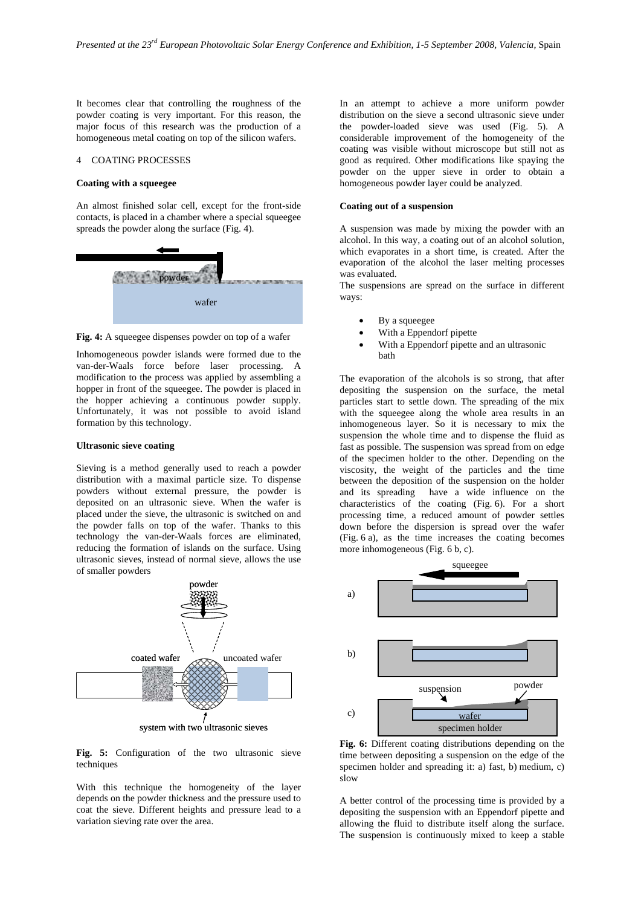It becomes clear that controlling the roughness of the powder coating is very important. For this reason, the major focus of this research was the production of a homogeneous metal coating on top of the silicon wafers.

# 4 COATING PROCESSES

## **Coating with a squeegee**

An almost finished solar cell, except for the front-side contacts, is placed in a chamber where a special squeegee spreads the powder along the surface (Fig. 4).



Fig. 4: A squeegee dispenses powder on top of a wafer

Inhomogeneous powder islands were formed due to the van-der-Waals force before laser processing. A modification to the process was applied by assembling a hopper in front of the squeegee. The powder is placed in the hopper achieving a continuous powder supply. Unfortunately, it was not possible to avoid island formation by this technology.

### **Ultrasonic sieve coating**

Sieving is a method generally used to reach a powder distribution with a maximal particle size. To dispense powders without external pressure, the powder is deposited on an ultrasonic sieve. When the wafer is placed under the sieve, the ultrasonic is switched on and the powder falls on top of the wafer. Thanks to this technology the van-der-Waals forces are eliminated, reducing the formation of islands on the surface. Using ultrasonic sieves, instead of normal sieve, allows the use of smaller powders



**Fig. 5:** Configuration of the two ultrasonic sieve techniques

With this technique the homogeneity of the layer depends on the powder thickness and the pressure used to coat the sieve. Different heights and pressure lead to a variation sieving rate over the area.

In an attempt to achieve a more uniform powder distribution on the sieve a second ultrasonic sieve under the powder-loaded sieve was used (Fig. 5). A considerable improvement of the homogeneity of the coating was visible without microscope but still not as good as required. Other modifications like spaying the powder on the upper sieve in order to obtain a homogeneous powder layer could be analyzed.

### **Coating out of a suspension**

A suspension was made by mixing the powder with an alcohol. In this way, a coating out of an alcohol solution, which evaporates in a short time, is created. After the evaporation of the alcohol the laser melting processes was evaluated.

The suspensions are spread on the surface in different ways:

- By a squeegee
- With a Eppendorf pipette
- With a Eppendorf pipette and an ultrasonic bath

The evaporation of the alcohols is so strong, that after depositing the suspension on the surface, the metal particles start to settle down. The spreading of the mix with the squeegee along the whole area results in an inhomogeneous layer. So it is necessary to mix the suspension the whole time and to dispense the fluid as fast as possible. The suspension was spread from on edge of the specimen holder to the other. Depending on the viscosity, the weight of the particles and the time between the deposition of the suspension on the holder and its spreading have a wide influence on the characteristics of the coating (Fig. 6). For a short processing time, a reduced amount of powder settles down before the dispersion is spread over the wafer (Fig. 6 a), as the time increases the coating becomes more inhomogeneous (Fig. 6 b, c).



**Fig. 6:** Different coating distributions depending on the time between depositing a suspension on the edge of the specimen holder and spreading it: a) fast, b) medium, c) slow

A better control of the processing time is provided by a depositing the suspension with an Eppendorf pipette and allowing the fluid to distribute itself along the surface. The suspension is continuously mixed to keep a stable